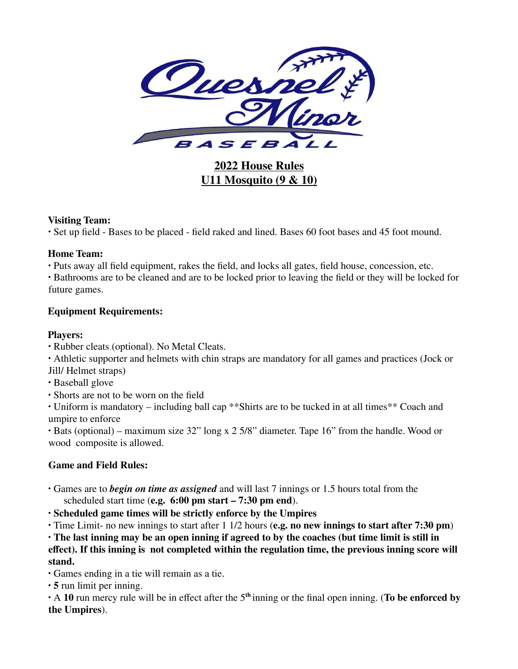

**2022 House Rules U11 Mosquito (9 & 10)**

#### **Visiting Team:**

∙ Set up field - Bases to be placed - field raked and lined. Bases 60 foot bases and 45 foot mound.

#### **Home Team:**

∙ Puts away all field equipment, rakes the field, and locks all gates, field house, concession, etc.

∙ Bathrooms are to be cleaned and are to be locked prior to leaving the field or they will be locked for future games.

### **Equipment Requirements:**

### **Players:**

∙ Rubber cleats (optional). No Metal Cleats.

∙ Athletic supporter and helmets with chin straps are mandatory for all games and practices (Jock or Jill/ Helmet straps)

- ∙ Baseball glove
- ∙ Shorts are not to be worn on the field

∙ Uniform is mandatory – including ball cap \*\*Shirts are to be tucked in at all times\*\* Coach and umpire to enforce

∙ Bats (optional) – maximum size 32" long x 2 5/8" diameter. Tape 16" from the handle. Wood or wood composite is allowed.

# **Game and Field Rules:**

- ∙ Games are to *begin on time as assigned* and will last 7 innings or 1.5 hours total from the scheduled start time (**e.g. 6:00 pm start – 7:30 pm end**).
- ∙ **Scheduled game times will be strictly enforce by the Umpires**

∙ Time Limit- no new innings to start after 1 1/2 hours (**e.g. no new innings to start after 7:30 pm**)

∙ **The last inning may be an open inning if agreed to by the coaches (but time limit is still in effect). If this inning is not completed within the regulation time, the previous inning score will stand.**

∙ Games ending in a tie will remain as a tie.

∙ **5** run limit per inning.

∙ A **10** run mercy rule will be in effect after the 5 **th** inning or the final open inning. (**To be enforced by the Umpires**).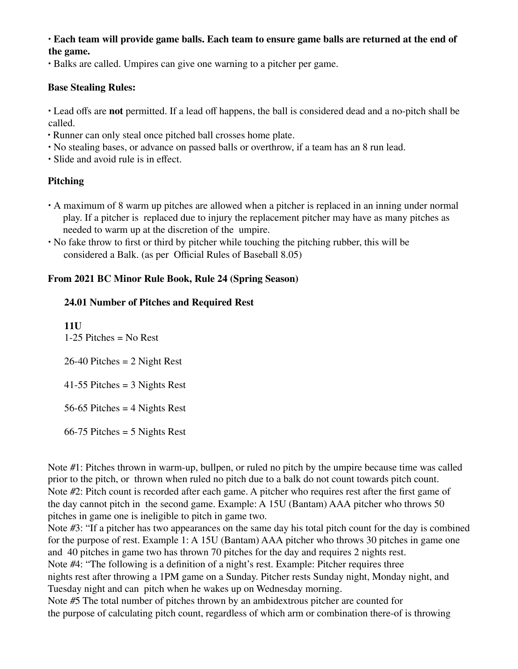#### ∙ **Each team will provide game balls. Each team to ensure game balls are returned at the end of the game.**

∙ Balks are called. Umpires can give one warning to a pitcher per game.

#### **Base Stealing Rules:**

∙ Lead offs are **not** permitted. If a lead off happens, the ball is considered dead and a no-pitch shall be called.

- ∙ Runner can only steal once pitched ball crosses home plate.
- ∙ No stealing bases, or advance on passed balls or overthrow, if a team has an 8 run lead.
- ∙ Slide and avoid rule is in effect.

## **Pitching**

- ∙ A maximum of 8 warm up pitches are allowed when a pitcher is replaced in an inning under normal play. If a pitcher is replaced due to injury the replacement pitcher may have as many pitches as needed to warm up at the discretion of the umpire.
- ∙ No fake throw to first or third by pitcher while touching the pitching rubber, this will be considered a Balk. (as per Official Rules of Baseball 8.05)

### **From 2021 BC Minor Rule Book, Rule 24 (Spring Season)**

#### **24.01 Number of Pitches and Required Rest**

**11U** 1-25 Pitches = No Rest 26-40 Pitches = 2 Night Rest 41-55 Pitches = 3 Nights Rest 56-65 Pitches = 4 Nights Rest 66-75 Pitches = 5 Nights Rest

Note #1: Pitches thrown in warm-up, bullpen, or ruled no pitch by the umpire because time was called prior to the pitch, or thrown when ruled no pitch due to a balk do not count towards pitch count. Note #2: Pitch count is recorded after each game. A pitcher who requires rest after the first game of the day cannot pitch in the second game. Example: A 15U (Bantam) AAA pitcher who throws 50 pitches in game one is ineligible to pitch in game two.

Note #3: "If a pitcher has two appearances on the same day his total pitch count for the day is combined for the purpose of rest. Example 1: A 15U (Bantam) AAA pitcher who throws 30 pitches in game one and 40 pitches in game two has thrown 70 pitches for the day and requires 2 nights rest. Note #4: "The following is a definition of a night's rest. Example: Pitcher requires three nights rest after throwing a 1PM game on a Sunday. Pitcher rests Sunday night, Monday night, and Tuesday night and can pitch when he wakes up on Wednesday morning. Note #5 The total number of pitches thrown by an ambidextrous pitcher are counted for

the purpose of calculating pitch count, regardless of which arm or combination there-of is throwing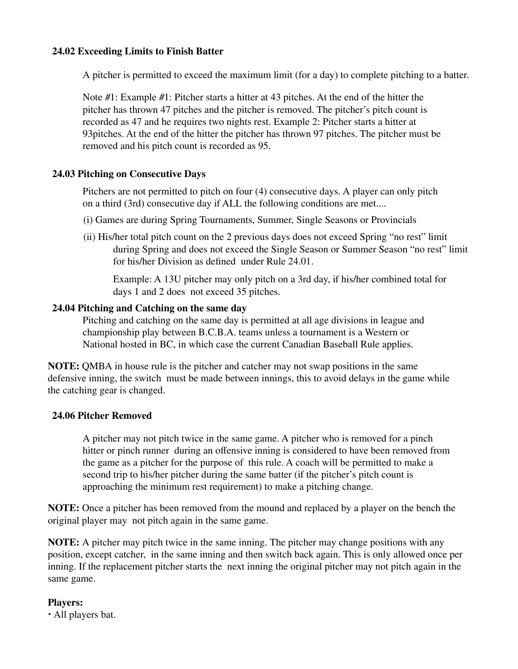### **24.02 Exceeding Limits to Finish Batter**

A pitcher is permitted to exceed the maximum limit (for a day) to complete pitching to a batter.

Note #1: Example #1: Pitcher starts a hitter at 43 pitches. At the end of the hitter the pitcher has thrown 47 pitches and the pitcher is removed. The pitcher's pitch count is recorded as 47 and he requires two nights rest. Example 2: Pitcher starts a hitter at 93pitches. At the end of the hitter the pitcher has thrown 97 pitches. The pitcher must be removed and his pitch count is recorded as 95.

### **24.03 Pitching on Consecutive Days**

Pitchers are not permitted to pitch on four (4) consecutive days. A player can only pitch on a third (3rd) consecutive day if ALL the following conditions are met....

- (i) Games are during Spring Tournaments, Summer, Single Seasons or Provincials
- (ii) His/her total pitch count on the 2 previous days does not exceed Spring "no rest" limit during Spring and does not exceed the Single Season or Summer Season "no rest" limit for his/her Division as defined under Rule 24.01.

Example: A 13U pitcher may only pitch on a 3rd day, if his/her combined total for days 1 and 2 does not exceed 35 pitches.

#### **24.04 Pitching and Catching on the same day**

Pitching and catching on the same day is permitted at all age divisions in league and championship play between B.C.B.A. teams unless a tournament is a Western or National hosted in BC, in which case the current Canadian Baseball Rule applies.

**NOTE:** QMBA in house rule is the pitcher and catcher may not swap positions in the same defensive inning, the switch must be made between innings, this to avoid delays in the game while the catching gear is changed.

#### **24.06 Pitcher Removed**

A pitcher may not pitch twice in the same game. A pitcher who is removed for a pinch hitter or pinch runner during an offensive inning is considered to have been removed from the game as a pitcher for the purpose of this rule. A coach will be permitted to make a second trip to his/her pitcher during the same batter (if the pitcher's pitch count is approaching the minimum rest requirement) to make a pitching change.

**NOTE:** Once a pitcher has been removed from the mound and replaced by a player on the bench the original player may not pitch again in the same game.

**NOTE:** A pitcher may pitch twice in the same inning. The pitcher may change positions with any position, except catcher, in the same inning and then switch back again. This is only allowed once per inning. If the replacement pitcher starts the next inning the original pitcher may not pitch again in the same game.

### **Players:**

∙ All players bat.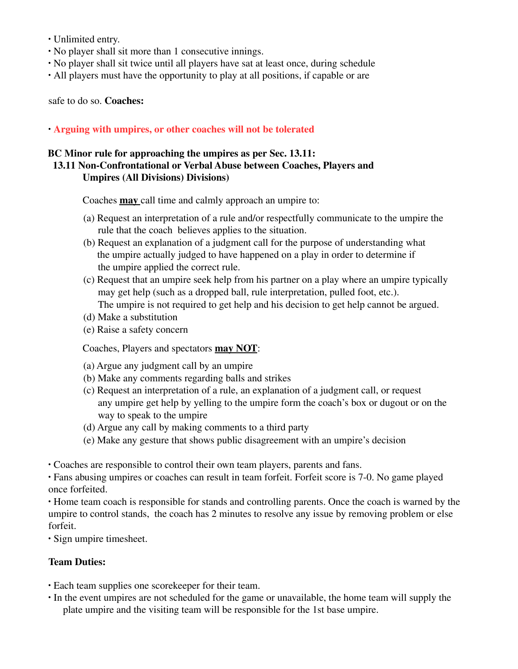- ∙ Unlimited entry.
- No player shall sit more than 1 consecutive innings.
- ∙ No player shall sit twice until all players have sat at least once, during schedule
- ∙ All players must have the opportunity to play at all positions, if capable or are

safe to do so. **Coaches:**

∙ **Arguing with umpires, or other coaches will not be tolerated**

## **BC Minor rule for approaching the umpires as per Sec. 13.11:**

## **13.11 Non-Confrontational or Verbal Abuse between Coaches, Players and Umpires (All Divisions) Divisions)**

Coaches **may** call time and calmly approach an umpire to:

- (a) Request an interpretation of a rule and/or respectfully communicate to the umpire the rule that the coach believes applies to the situation.
- (b) Request an explanation of a judgment call for the purpose of understanding what the umpire actually judged to have happened on a play in order to determine if the umpire applied the correct rule.
- (c) Request that an umpire seek help from his partner on a play where an umpire typically may get help (such as a dropped ball, rule interpretation, pulled foot, etc.). The umpire is not required to get help and his decision to get help cannot be argued.
- (d) Make a substitution
- (e) Raise a safety concern

Coaches, Players and spectators **may NOT**:

- (a) Argue any judgment call by an umpire
- (b) Make any comments regarding balls and strikes
- (c) Request an interpretation of a rule, an explanation of a judgment call, or request any umpire get help by yelling to the umpire form the coach's box or dugout or on the way to speak to the umpire
- (d) Argue any call by making comments to a third party
- (e) Make any gesture that shows public disagreement with an umpire's decision

∙ Coaches are responsible to control their own team players, parents and fans.

∙ Fans abusing umpires or coaches can result in team forfeit. Forfeit score is 7-0. No game played once forfeited.

∙ Home team coach is responsible for stands and controlling parents. Once the coach is warned by the umpire to control stands, the coach has 2 minutes to resolve any issue by removing problem or else forfeit.

∙ Sign umpire timesheet.

### **Team Duties:**

- ∙ Each team supplies one scorekeeper for their team.
- ∙ In the event umpires are not scheduled for the game or unavailable, the home team will supply the plate umpire and the visiting team will be responsible for the 1st base umpire.